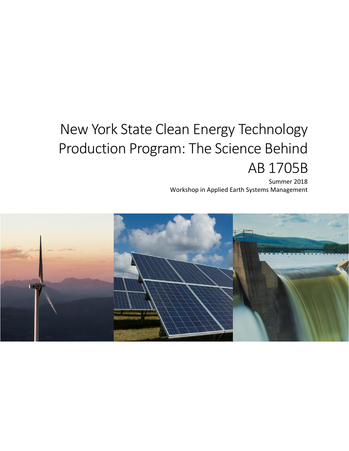# New York State Clean Energy Technology Production Program: The Science Behind AB 1705B

Summer 2018 Workshop in Applied Earth Systems Management

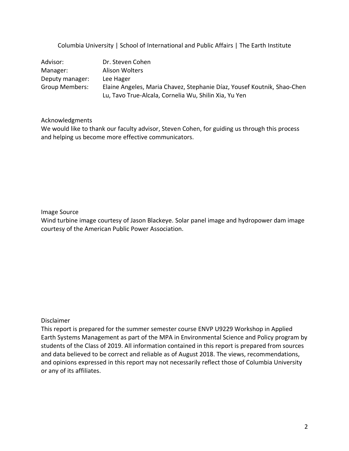Columbia University | School of International and Public Affairs | The Earth Institute

| Advisor:        | Dr. Steven Cohen                                                        |
|-----------------|-------------------------------------------------------------------------|
| Manager:        | Alison Wolters                                                          |
| Deputy manager: | Lee Hager                                                               |
| Group Members:  | Elaine Angeles, Maria Chavez, Stephanie Díaz, Yousef Koutnik, Shao-Chen |
|                 | Lu, Tavo True-Alcala, Cornelia Wu, Shilin Xia, Yu Yen                   |

#### Acknowledgments

We would like to thank our faculty advisor, Steven Cohen, for guiding us through this process and helping us become more effective communicators.

#### Image Source

Wind turbine image courtesy of Jason Blackeye. Solar panel image and hydropower dam image courtesy of the American Public Power Association.

#### Disclaimer

This report is prepared for the summer semester course ENVP U9229 Workshop in Applied Earth Systems Management as part of the MPA in Environmental Science and Policy program by students of the Class of 2019. All information contained in this report is prepared from sources and data believed to be correct and reliable as of August 2018. The views, recommendations, and opinions expressed in this report may not necessarily reflect those of Columbia University or any of its affiliates.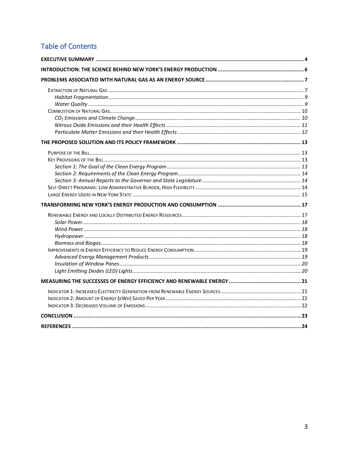# **Table of Contents**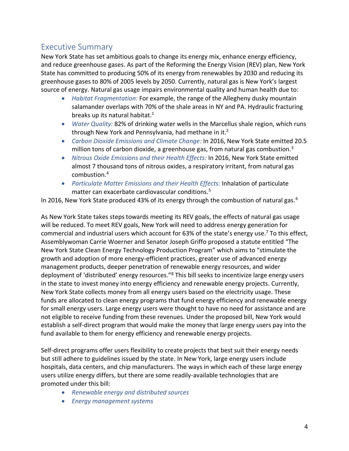# <span id="page-3-0"></span>Executive Summary

New York State has set ambitious goals to change its energy mix, enhance energy efficiency, and reduce greenhouse gases. As part of the Reforming the Energy Vision (REV) plan, New York State has committed to producing 50% of its energy from renewables by 2030 and reducing its greenhouse gases to 80% of 2005 levels by 2050. Currently, natural gas is New York's largest source of energy. Natural gas usage impairs environmental quality and human health due to:

- *Habitat Fragmentation:* For example, the range of the Allegheny dusky mountain salamander overlaps with 70% of the shale areas in NY and PA. Hydraulic fracturing breaks up its natural habitat. $1$
- *Water Quality:* 82% of drinking water wells in the Marcellus shale region, which runs through New York and Pennsylvania, had methane in it. $2$
- *Carbon Dioxide Emissions and Climate Change:* In 2016, New York State emitted 20.5 million tons of carbon dioxide, a greenhouse gas, from natural gas combustion.<sup>3</sup>
- *Nitrous Oxide Emissions and their Health Effects:* In 2016, New York State emitted almost 7 thousand tons of nitrous oxides, a respiratory irritant, from natural gas combustion. 4
- *Particulate Matter Emissions and their Health Effects:* Inhalation of particulate matter can exacerbate cardiovascular conditions.<sup>5</sup>

In 2016, New York State produced 43% of its energy through the combustion of natural gas.<sup>6</sup>

As New York State takes steps towards meeting its REV goals, the effects of natural gas usage will be reduced. To meet REV goals, New York will need to address energy generation for commercial and industrial users which account for 63% of the state's energy use.<sup>7</sup> To this effect, Assemblywoman Carrie Woerner and Senator Joseph Griffo proposed a statute entitled "The New York State Clean Energy Technology Production Program" which aims to "stimulate the growth and adoption of more energy-efficient practices, greater use of advanced energy management products, deeper penetration of renewable energy resources, and wider deployment of 'distributed' energy resources."<sup>8</sup> This bill seeks to incentivize large energy users in the state to invest money into energy efficiency and renewable energy projects. Currently, New York State collects money from all energy users based on the electricity usage. These funds are allocated to clean energy programs that fund energy efficiency and renewable energy for small energy users. Large energy users were thought to have no need for assistance and are not eligible to receive funding from these revenues. Under the proposed bill, New York would establish a self-direct program that would make the money that large energy users pay into the fund available to them for energy efficiency and renewable energy projects.

Self-direct programs offer users flexibility to create projects that best suit their energy needs but still adhere to guidelines issued by the state. In New York, large energy users include hospitals, data centers, and chip manufacturers. The ways in which each of these large energy users utilize energy differs, but there are some readily-available technologies that are promoted under this bill:

- *Renewable energy and distributed sources*
- *Energy management systems*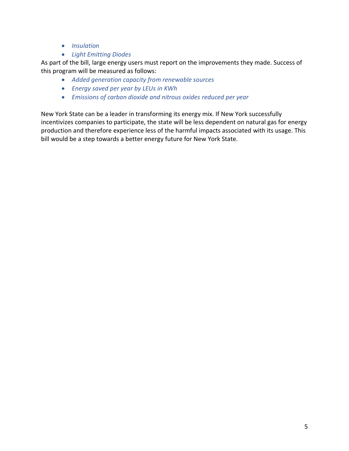- *Insulation*
- *Light Emitting Diodes*

As part of the bill, large energy users must report on the improvements they made. Success of this program will be measured as follows:

- *Added generation capacity from renewable sources*
- *Energy saved per year by LEUs in KWh*
- *Emissions of carbon dioxide and nitrous oxides reduced per year*

New York State can be a leader in transforming its energy mix. If New York successfully incentivizes companies to participate, the state will be less dependent on natural gas for energy production and therefore experience less of the harmful impacts associated with its usage. This bill would be a step towards a better energy future for New York State.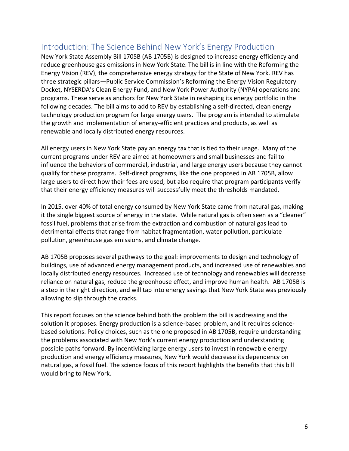# <span id="page-5-0"></span>Introduction: The Science Behind New York's Energy Production

New York State Assembly Bill 1705B (AB 1705B) is designed to increase energy efficiency and reduce greenhouse gas emissions in New York State. The bill is in line with the Reforming the Energy Vision (REV), the comprehensive energy strategy for the State of New York. REV has three strategic pillars—Public Service Commission's Reforming the Energy Vision Regulatory Docket, NYSERDA's Clean Energy Fund, and New York Power Authority (NYPA) operations and programs. These serve as anchors for New York State in reshaping its energy portfolio in the following decades. The bill aims to add to REV by establishing a self-directed, clean energy technology production program for large energy users. The program is intended to stimulate the growth and implementation of energy-efficient practices and products, as well as renewable and locally distributed energy resources.

All energy users in New York State pay an energy tax that is tied to their usage. Many of the current programs under REV are aimed at homeowners and small businesses and fail to influence the behaviors of commercial, industrial, and large energy users because they cannot qualify for these programs. Self-direct programs, like the one proposed in AB 1705B, allow large users to direct how their fees are used, but also require that program participants verify that their energy efficiency measures will successfully meet the thresholds mandated.

In 2015, over 40% of total energy consumed by New York State came from natural gas, making it the single biggest source of energy in the state. While natural gas is often seen as a "cleaner" fossil fuel, problems that arise from the extraction and combustion of natural gas lead to detrimental effects that range from habitat fragmentation, water pollution, particulate pollution, greenhouse gas emissions, and climate change.

AB 1705B proposes several pathways to the goal: improvements to design and technology of buildings, use of advanced energy management products, and increased use of renewables and locally distributed energy resources. Increased use of technology and renewables will decrease reliance on natural gas, reduce the greenhouse effect, and improve human health. AB 1705B is a step in the right direction, and will tap into energy savings that New York State was previously allowing to slip through the cracks.

This report focuses on the science behind both the problem the bill is addressing and the solution it proposes. Energy production is a science-based problem, and it requires sciencebased solutions. Policy choices, such as the one proposed in AB 1705B, require understanding the problems associated with New York's current energy production and understanding possible paths forward. By incentivizing large energy users to invest in renewable energy production and energy efficiency measures, New York would decrease its dependency on natural gas, a fossil fuel. The science focus of this report highlights the benefits that this bill would bring to New York.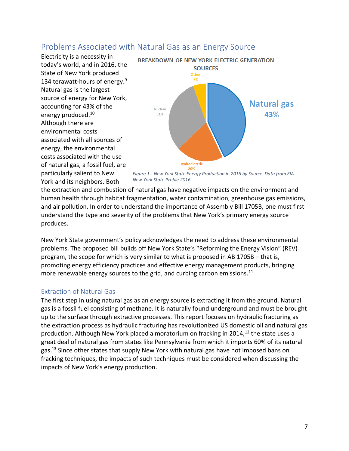# <span id="page-6-0"></span>Problems Associated with Natural Gas as an Energy Source

Electricity is a necessity in today's world, and in 2016, the State of New York produced 134 terawatt-hours of energy.<sup>9</sup> Natural gas is the largest source of energy for New York, accounting for 43% of the energy produced.<sup>10</sup> Although there are environmental costs associated with all sources of energy, the environmental costs associated with the use of natural gas, a fossil fuel, are particularly salient to New York and its neighbors. Both



*Figure 1-- New York State Energy Production in 2016 by Source. Data from EIA New York State Profile 2016.* 

the extraction and combustion of natural gas have negative impacts on the environment and human health through habitat fragmentation, water contamination, greenhouse gas emissions, and air pollution. In order to understand the importance of Assembly Bill 1705B, one must first understand the type and severity of the problems that New York's primary energy source produces.

New York State government's policy acknowledges the need to address these environmental problems. The proposed bill builds off New York State's "Reforming the Energy Vision" (REV) program, the scope for which is very similar to what is proposed in AB 1705B – that is, promoting energy efficiency practices and effective energy management products, bringing more renewable energy sources to the grid, and curbing carbon emissions.<sup>11</sup>

# <span id="page-6-1"></span>Extraction of Natural Gas

The first step in using natural gas as an energy source is extracting it from the ground. Natural gas is a fossil fuel consisting of methane. It is naturally found underground and must be brought up to the surface through extractive processes. This report focuses on hydraulic fracturing as the extraction process as hydraulic fracturing has revolutionized US domestic oil and natural gas production. Although New York placed a moratorium on fracking in 2014,<sup>12</sup> the state uses a great deal of natural gas from states like Pennsylvania from which it imports 60% of its natural gas.<sup>13</sup> Since other states that supply New York with natural gas have not imposed bans on fracking techniques, the impacts of such techniques must be considered when discussing the impacts of New York's energy production.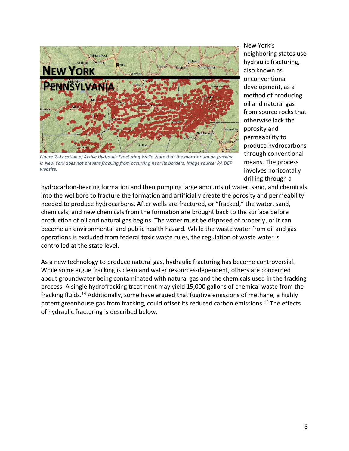

*Figure 2--Location of Active Hydraulic Fracturing Wells. Note that the moratorium on fracking in New York does not prevent fracking from occurring near its borders. Image source: PA DEP website.*

New York's neighboring states use hydraulic fracturing, also known as unconventional development, as a method of producing oil and natural gas from source rocks that otherwise lack the porosity and permeability to produce hydrocarbons through conventional means. The process involves horizontally drilling through a

hydrocarbon-bearing formation and then pumping large amounts of water, sand, and chemicals into the wellbore to fracture the formation and artificially create the porosity and permeability needed to produce hydrocarbons. After wells are fractured, or "fracked," the water, sand, chemicals, and new chemicals from the formation are brought back to the surface before production of oil and natural gas begins. The water must be disposed of properly, or it can become an environmental and public health hazard. While the waste water from oil and gas operations is excluded from federal toxic waste rules, the regulation of waste water is controlled at the state level.

As a new technology to produce natural gas, hydraulic fracturing has become controversial. While some argue fracking is clean and water resources-dependent, others are concerned about groundwater being contaminated with natural gas and the chemicals used in the fracking process. A single hydrofracking treatment may yield 15,000 gallons of chemical waste from the fracking fluids.<sup>14</sup> Additionally, some have argued that fugitive emissions of methane, a highly potent greenhouse gas from fracking, could offset its reduced carbon emissions.<sup>15</sup> The effects of hydraulic fracturing is described below.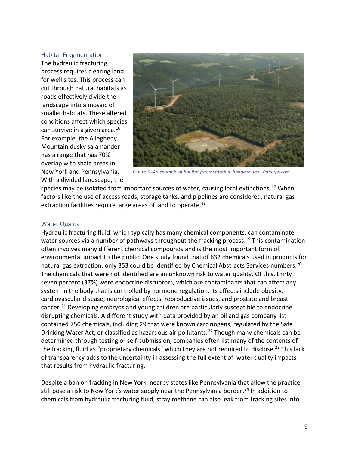#### <span id="page-8-0"></span>Habitat Fragmentation

The hydraulic fracturing process requires clearing land for well sites. This process can cut through natural habitats as roads effectively divide the landscape into a mosaic of smaller habitats. These altered conditions affect which species can survive in a given area. $16$ For example, the Allegheny Mountain dusky salamander has a range that has 70% overlap with shale areas in New York and Pennsylvania. With a divided landscape, the



*Figure 3--An example of habitat fragmentation. Image source: Paherps.com*

species may be isolated from important sources of water, causing local extinctions.<sup>17</sup> When factors like the use of access roads, storage tanks, and pipelines are considered, natural gas extraction facilities require large areas of land to operate.<sup>18</sup>

#### <span id="page-8-1"></span>Water Quality

Hydraulic fracturing fluid, which typically has many chemical components, can contaminate water sources via a number of pathways throughout the fracking process.<sup>19</sup> This contamination often involves many different chemical compounds and is the most important form of environmental impact to the public. One study found that of 632 chemicals used in products for natural gas extraction, only 353 could be identified by Chemical Abstracts Services numbers.<sup>20</sup> The chemicals that were not identified are an unknown risk to water quality. Of this, thirty seven percent (37%) were endocrine disruptors, which are contaminants that can affect any system in the body that is controlled by hormone regulation. Its effects include obesity, cardiovascular disease, neurological effects, reproductive issues, and prostate and breast cancer.<sup>21</sup> Developing embryos and young children are particularly susceptible to endocrine disrupting chemicals. A different study with data provided by an oil and gas company list contained 750 chemicals, including 29 that were known carcinogens, regulated by the Safe Drinking Water Act, or classified as hazardous air pollutants.<sup>22</sup> Though many chemicals can be determined through testing or self-submission, companies often list many of the contents of the fracking fluid as "proprietary chemicals" which they are not required to disclose.<sup>23</sup> This lack of transparency adds to the uncertainty in assessing the full extent of water quality impacts that results from hydraulic fracturing.

Despite a ban on fracking in New York, nearby states like Pennsylvania that allow the practice still pose a risk to New York's water supply near the Pennsylvania border.<sup>24</sup> In addition to chemicals from hydraulic fracturing fluid, stray methane can also leak from fracking sites into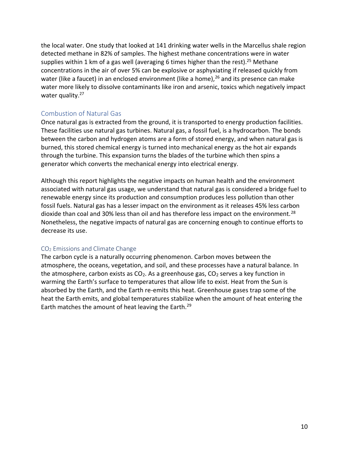the local water. One study that looked at 141 drinking water wells in the Marcellus shale region detected methane in 82% of samples. The highest methane concentrations were in water supplies within 1 km of a gas well (averaging 6 times higher than the rest).<sup>25</sup> Methane concentrations in the air of over 5% can be explosive or asphyxiating if released quickly from water (like a faucet) in an enclosed environment (like a home),  $^{26}$  and its presence can make water more likely to dissolve contaminants like iron and arsenic, toxics which negatively impact water quality.<sup>27</sup>

# <span id="page-9-0"></span>Combustion of Natural Gas

Once natural gas is extracted from the ground, it is transported to energy production facilities. These facilities use natural gas turbines. Natural gas, a fossil fuel, is a hydrocarbon. The bonds between the carbon and hydrogen atoms are a form of stored energy, and when natural gas is burned, this stored chemical energy is turned into mechanical energy as the hot air expands through the turbine. This expansion turns the blades of the turbine which then spins a generator which converts the mechanical energy into electrical energy.

Although this report highlights the negative impacts on human health and the environment associated with natural gas usage, we understand that natural gas is considered a bridge fuel to renewable energy since its production and consumption produces less pollution than other fossil fuels. Natural gas has a lesser impact on the environment as it releases 45% less carbon dioxide than coal and 30% less than oil and has therefore less impact on the environment.<sup>28</sup> Nonetheless, the negative impacts of natural gas are concerning enough to continue efforts to decrease its use.

## <span id="page-9-1"></span>CO<sub>2</sub> Emissions and Climate Change

<span id="page-9-2"></span>The carbon cycle is a naturally occurring phenomenon. Carbon moves between the atmosphere, the oceans, vegetation, and soil, and these processes have a natural balance. In the atmosphere, carbon exists as  $CO<sub>2</sub>$ . As a greenhouse gas,  $CO<sub>2</sub>$  serves a key function in warming the Earth's surface to temperatures that allow life to exist. Heat from the Sun is absorbed by the Earth, and the Earth re-emits this heat. Greenhouse gases trap some of the heat the Earth emits, and global temperatures stabilize when the amount of heat entering the Earth matches the amount of heat leaving the Earth.<sup>29</sup>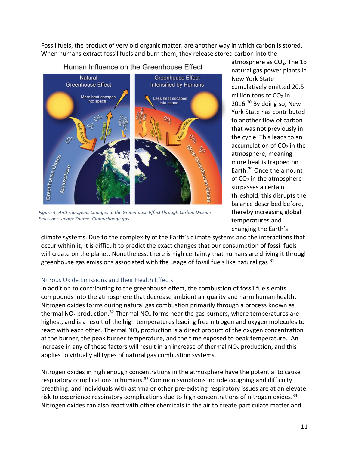Fossil fuels, the product of very old organic matter, are another way in which carbon is stored. When humans extract fossil fuels and burn them, they release stored carbon into the



Human Influence on the Greenhouse Effect

*Figure 4--Anthropogenic Changes to the Greenhouse Effect through Carbon Dioxide Emissions. Image Source: Globalchange.gov*

atmosphere as CO<sub>2</sub>. The 16 natural gas power plants in New York State cumulatively emitted 20.5 million tons of  $CO<sub>2</sub>$  in  $2016.<sup>30</sup>$  By doing so, New York State has contributed to another flow of carbon that was not previously in the cycle. This leads to an accumulation of  $CO<sub>2</sub>$  in the atmosphere, meaning more heat is trapped on Earth.[29](#page-9-2) Once the amount of CO<sup>2</sup> in the atmosphere surpasses a certain threshold, this disrupts the balance described before, thereby increasing global temperatures and changing the Earth's

climate systems. Due to the complexity of the Earth's climate systems and the interactions that occur within it, it is difficult to predict the exact changes that our consumption of fossil fuels will create on the planet. Nonetheless, there is high certainty that humans are driving it through greenhouse gas emissions associated with the usage of fossil fuels like natural gas.<sup>31</sup>

## <span id="page-10-0"></span>Nitrous Oxide Emissions and their Health Effects

In addition to contributing to the greenhouse effect, the combustion of fossil fuels emits compounds into the atmosphere that decrease ambient air quality and harm human health. Nitrogen oxides forms during natural gas combustion primarily through a process known as thermal NO<sub>x</sub> production.<sup>32</sup> Thermal NO<sub>x</sub> forms near the gas burners, where temperatures are highest, and is a result of the high temperatures leading free nitrogen and oxygen molecules to react with each other. Thermal  $NO<sub>x</sub>$  production is a direct product of the oxygen concentration at the burner, the peak burner temperature, and the time exposed to peak temperature. An increase in any of these factors will result in an increase of thermal  $NO<sub>x</sub>$  production, and this applies to virtually all types of natural gas combustion systems.

Nitrogen oxides in high enough concentrations in the atmosphere have the potential to cause respiratory complications in humans.<sup>33</sup> Common symptoms include coughing and difficulty breathing, and individuals with asthma or other pre-existing respiratory issues are at an elevate risk to experience respiratory complications due to high concentrations of nitrogen oxides.<sup>34</sup> Nitrogen oxides can also react with other chemicals in the air to create particulate matter and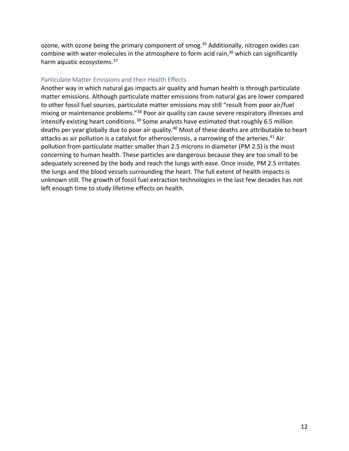ozone, with ozone being the primary component of smog.<sup>35</sup> Additionally, nitrogen oxides can combine with water molecules in the atmosphere to form acid rain,<sup>36</sup> which can significantly harm aquatic ecosystems.<sup>37</sup>

## <span id="page-11-0"></span>Particulate Matter Emissions and their Health Effects

Another way in which natural gas impacts air quality and human health is through particulate matter emissions. Although particulate matter emissions from natural gas are lower compared to other fossil fuel sources, particulate matter emissions may still "result from poor air/fuel mixing or maintenance problems."<sup>38</sup> Poor air quality can cause severe respiratory illnesses and intensify existing heart conditions.<sup>39</sup> Some analysts have estimated that roughly 6.5 million deaths per year globally due to poor air quality.<sup>40</sup> Most of these deaths are attributable to heart attacks as air pollution is a catalyst for atherosclerosis, a narrowing of the arteries.<sup>41</sup> Air pollution from particulate matter smaller than 2.5 microns in diameter (PM 2.5) is the most concerning to human health. These particles are dangerous because they are too small to be adequately screened by the body and reach the lungs with ease. Once inside, PM 2.5 irritates the lungs and the blood vessels surrounding the heart. The full extent of health impacts is unknown still. The growth of fossil fuel extraction technologies in the last few decades has not left enough time to study lifetime effects on health.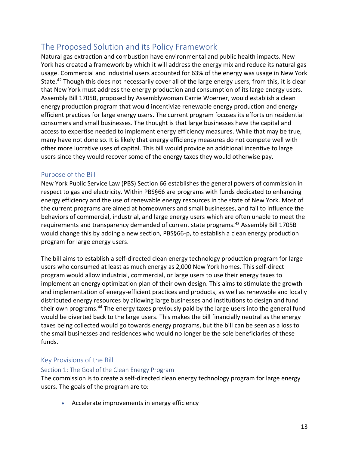# <span id="page-12-0"></span>The Proposed Solution and its Policy Framework

Natural gas extraction and combustion have environmental and public health impacts. New York has created a framework by which it will address the energy mix and reduce its natural gas usage. Commercial and industrial users accounted for 63% of the energy was usage in New York State.<sup>42</sup> Though this does not necessarily cover all of the large energy users, from this, it is clear that New York must address the energy production and consumption of its large energy users. Assembly Bill 1705B, proposed by Assemblywoman Carrie Woerner, would establish a clean energy production program that would incentivize renewable energy production and energy efficient practices for large energy users. The current program focuses its efforts on residential consumers and small businesses. The thought is that large businesses have the capital and access to expertise needed to implement energy efficiency measures. While that may be true, many have not done so. It is likely that energy efficiency measures do not compete well with other more lucrative uses of capital. This bill would provide an additional incentive to large users since they would recover some of the energy taxes they would otherwise pay.

# <span id="page-12-1"></span>Purpose of the Bill

New York Public Service Law (PBS) Section 66 establishes the general powers of commission in respect to gas and electricity. Within PBS§66 are programs with funds dedicated to enhancing energy efficiency and the use of renewable energy resources in the state of New York. Most of the current programs are aimed at homeowners and small businesses, and fail to influence the behaviors of commercial, industrial, and large energy users which are often unable to meet the requirements and transparency demanded of current state programs.<sup>43</sup> Assembly Bill 1705B would change this by adding a new section, PBS§66-p, to establish a clean energy production program for large energy users.

The bill aims to establish a self-directed clean energy technology production program for large users who consumed at least as much energy as 2,000 New York homes. This self-direct program would allow industrial, commercial, or large users to use their energy taxes to implement an energy optimization plan of their own design. This aims to stimulate the growth and implementation of energy-efficient practices and products, as well as renewable and locally distributed energy resources by allowing large businesses and institutions to design and fund their own programs.<sup>44</sup> The energy taxes previously paid by the large users into the general fund would be diverted back to the large users. This makes the bill financially neutral as the energy taxes being collected would go towards energy programs, but the bill can be seen as a loss to the small businesses and residences who would no longer be the sole beneficiaries of these funds.

# <span id="page-12-2"></span>Key Provisions of the Bill

## <span id="page-12-3"></span>Section 1: The Goal of the Clean Energy Program

The commission is to create a self-directed clean energy technology program for large energy users. The goals of the program are to:

• Accelerate improvements in energy efficiency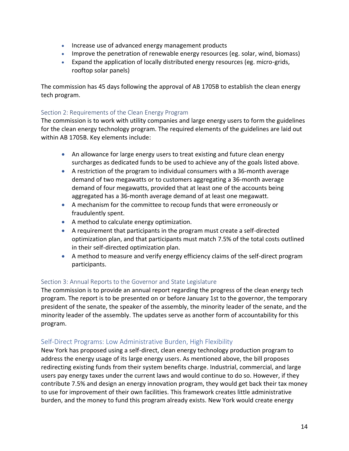- Increase use of advanced energy management products
- Improve the penetration of renewable energy resources (eg. solar, wind, biomass)
- Expand the application of locally distributed energy resources (eg. micro-grids, rooftop solar panels)

The commission has 45 days following the approval of AB 1705B to establish the clean energy tech program.

## <span id="page-13-0"></span>Section 2: Requirements of the Clean Energy Program

The commission is to work with utility companies and large energy users to form the guidelines for the clean energy technology program. The required elements of the guidelines are laid out within AB 1705B. Key elements include:

- An allowance for large energy users to treat existing and future clean energy surcharges as dedicated funds to be used to achieve any of the goals listed above.
- A restriction of the program to individual consumers with a 36-month average demand of two megawatts or to customers aggregating a 36-month average demand of four megawatts, provided that at least one of the accounts being aggregated has a 36-month average demand of at least one megawatt.
- A mechanism for the committee to recoup funds that were erroneously or fraudulently spent.
- A method to calculate energy optimization.
- A requirement that participants in the program must create a self-directed optimization plan, and that participants must match 7.5% of the total costs outlined in their self-directed optimization plan.
- A method to measure and verify energy efficiency claims of the self-direct program participants.

## <span id="page-13-1"></span>Section 3: Annual Reports to the Governor and State Legislature

The commission is to provide an annual report regarding the progress of the clean energy tech program. The report is to be presented on or before January 1st to the governor, the temporary president of the senate, the speaker of the assembly, the minority leader of the senate, and the minority leader of the assembly. The updates serve as another form of accountability for this program.

#### <span id="page-13-2"></span>Self-Direct Programs: Low Administrative Burden, High Flexibility

New York has proposed using a self-direct, clean energy technology production program to address the energy usage of its large energy users. As mentioned above, the bill proposes redirecting existing funds from their system benefits charge. Industrial, commercial, and large users pay energy taxes under the current laws and would continue to do so. However, if they contribute 7.5% and design an energy innovation program, they would get back their tax money to use for improvement of their own facilities. This framework creates little administrative burden, and the money to fund this program already exists. New York would create energy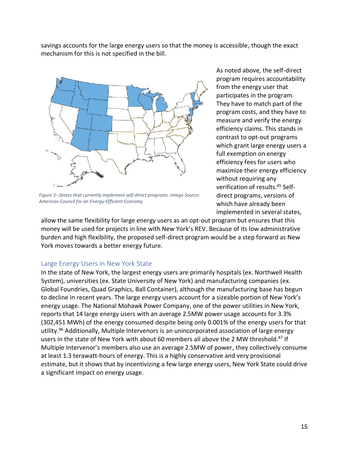savings accounts for the large energy users so that the money is accessible, though the exact mechanism for this is not specified in the bill.



*Figure 5--States that currently implement self-direct programs. Image Source: American Council for an Energy-Efficient Economy*

As noted above, the self-direct program requires accountability from the energy user that participates in the program. They have to match part of the program costs, and they have to measure and verify the energy efficiency claims. This stands in contrast to opt-out programs which grant large energy users a full exemption on energy efficiency fees for users who maximize their energy efficiency without requiring any verification of results. <sup>45</sup> Selfdirect programs, versions of which have already been implemented in several states,

allow the same flexibility for large energy users as an opt-out program but ensures that this money will be used for projects in line with New York's REV. Because of its low administrative burden and high flexibility, the proposed self-direct program would be a step forward as New York moves towards a better energy future.

#### <span id="page-14-0"></span>Large Energy Users in New York State

In the state of New York, the largest energy users are primarily hospitals (ex. Northwell Health System), universities (ex. State University of New York) and manufacturing companies (ex. Global Foundries, Quad Graphics, Ball Container), although the manufacturing base has begun to decline in recent years. The large energy users account for a sizeable portion of New York's energy usage. The National Mohawk Power Company, one of the power utilities in New York, reports that 14 large energy users with an average 2.5MW power usage accounts for 3.3% (302,451 MWh) of the energy consumed despite being only 0.001% of the energy users for that utility.<sup>46</sup> Additionally, Multiple Intervenors is an unincorporated association of large energy users in the state of New York with about 60 members all above the 2 MW threshold.<sup>47</sup> If Multiple Intervenor's members also use an average 2.5MW of power, they collectively consume at least 1.3 terawatt-hours of energy. This is a highly conservative and very provisional estimate, but it shows that by incentivizing a few large energy users, New York State could drive a significant impact on energy usage.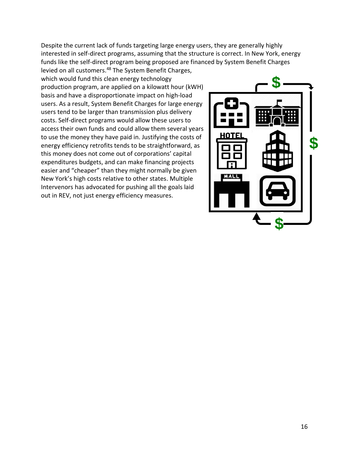Despite the current lack of funds targeting large energy users, they are generally highly interested in self-direct programs, assuming that the structure is correct. In New York, energy funds like the self-direct program being proposed are financed by System Benefit Charges levied on all customers.<sup>48</sup> The System Benefit Charges,

which would fund this clean energy technology production program, are applied on a kilowatt hour (kWH) basis and have a disproportionate impact on high-load users. As a result, System Benefit Charges for large energy users tend to be larger than transmission plus delivery costs. Self-direct programs would allow these users to access their own funds and could allow them several years to use the money they have paid in. Justifying the costs of energy efficiency retrofits tends to be straightforward, as this money does not come out of corporations' capital expenditures budgets, and can make financing projects easier and "cheaper" than they might normally be given New York's high costs relative to other states. Multiple Intervenors has advocated for pushing all the goals laid out in REV, not just energy efficiency measures.

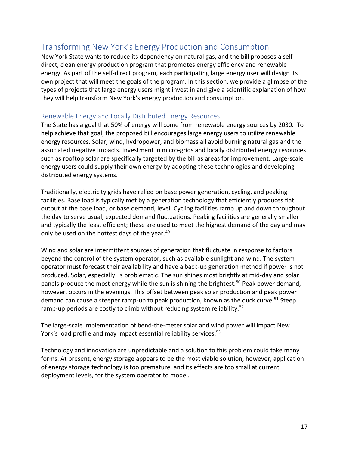# <span id="page-16-0"></span>Transforming New York's Energy Production and Consumption

New York State wants to reduce its dependency on natural gas, and the bill proposes a selfdirect, clean energy production program that promotes energy efficiency and renewable energy. As part of the self-direct program, each participating large energy user will design its own project that will meet the goals of the program. In this section, we provide a glimpse of the types of projects that large energy users might invest in and give a scientific explanation of how they will help transform New York's energy production and consumption.

## <span id="page-16-1"></span>Renewable Energy and Locally Distributed Energy Resources

The State has a goal that 50% of energy will come from renewable energy sources by 2030. To help achieve that goal, the proposed bill encourages large energy users to utilize renewable energy resources. Solar, wind, hydropower, and biomass all avoid burning natural gas and the associated negative impacts. Investment in micro-grids and locally distributed energy resources such as rooftop solar are specifically targeted by the bill as areas for improvement. Large-scale energy users could supply their own energy by adopting these technologies and developing distributed energy systems.

Traditionally, electricity grids have relied on base power generation, cycling, and peaking facilities. Base load is typically met by a generation technology that efficiently produces flat output at the base load, or base demand, level. Cycling facilities ramp up and down throughout the day to serve usual, expected demand fluctuations. Peaking facilities are generally smaller and typically the least efficient; these are used to meet the highest demand of the day and may only be used on the hottest days of the year.<sup>49</sup>

Wind and solar are intermittent sources of generation that fluctuate in response to factors beyond the control of the system operator, such as available sunlight and wind. The system operator must forecast their availability and have a back-up generation method if power is not produced. Solar, especially, is problematic. The sun shines most brightly at mid-day and solar panels produce the most energy while the sun is shining the brightest.<sup>50</sup> Peak power demand, however, occurs in the evenings. This offset between peak solar production and peak power demand can cause a steeper ramp-up to peak production, known as the duck curve.<sup>51</sup> Steep ramp-up periods are costly to climb without reducing system reliability.<sup>52</sup>

The large-scale implementation of bend-the-meter solar and wind power will impact New York's load profile and may impact essential reliability services.<sup>53</sup>

Technology and innovation are unpredictable and a solution to this problem could take many forms. At present, energy storage appears to be the most viable solution, however, application of energy storage technology is too premature, and its effects are too small at current deployment levels, for the system operator to model.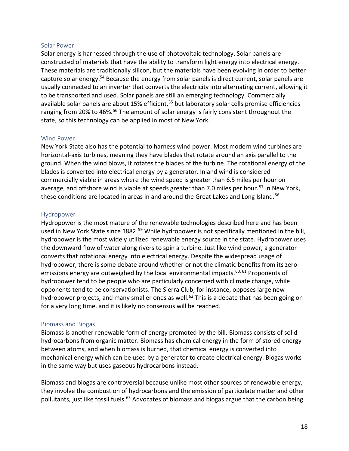#### <span id="page-17-0"></span>Solar Power

Solar energy is harnessed through the use of photovoltaic technology. Solar panels are constructed of materials that have the ability to transform light energy into electrical energy. These materials are traditionally silicon, but the materials have been evolving in order to better capture solar energy.<sup>54</sup> Because the energy from solar panels is direct current, solar panels are usually connected to an inverter that converts the electricity into alternating current, allowing it to be transported and used. Solar panels are still an emerging technology. Commercially available solar panels are about 15% efficient,<sup>55</sup> but laboratory solar cells promise efficiencies ranging from 20% to 46%.<sup>56</sup> The amount of solar energy is fairly consistent throughout the state, so this technology can be applied in most of New York.

#### <span id="page-17-1"></span>Wind Power

New York State also has the potential to harness wind power. Most modern wind turbines are horizontal-axis turbines, meaning they have blades that rotate around an axis parallel to the ground. When the wind blows, it rotates the blades of the turbine. The rotational energy of the blades is converted into electrical energy by a generator. Inland wind is considered commercially viable in areas where the wind speed is greater than 6.5 miles per hour on average, and offshore wind is viable at speeds greater than 7.0 miles per hour.<sup>57</sup> In New York, these conditions are located in areas in and around the Great Lakes and Long Island.<sup>58</sup>

#### <span id="page-17-2"></span>Hydropower

Hydropower is the most mature of the renewable technologies described here and has been used in New York State since 1882.<sup>59</sup> While hydropower is not specifically mentioned in the bill, hydropower is the most widely utilized renewable energy source in the state. Hydropower uses the downward flow of water along rivers to spin a turbine. Just like wind power, a generator converts that rotational energy into electrical energy. Despite the widespread usage of hydropower, there is some debate around whether or not the climatic benefits from its zeroemissions energy are outweighed by the local environmental impacts.<sup>60, 61</sup> Proponents of hydropower tend to be people who are particularly concerned with climate change, while opponents tend to be conservationists. The Sierra Club, for instance, opposes large new hydropower projects, and many smaller ones as well.<sup>62</sup> This is a debate that has been going on for a very long time, and it is likely no consensus will be reached.

#### <span id="page-17-3"></span>Biomass and Biogas

Biomass is another renewable form of energy promoted by the bill. Biomass consists of solid hydrocarbons from organic matter. Biomass has chemical energy in the form of stored energy between atoms, and when biomass is burned, that chemical energy is converted into mechanical energy which can be used by a generator to create electrical energy. Biogas works in the same way but uses gaseous hydrocarbons instead.

Biomass and biogas are controversial because unlike most other sources of renewable energy, they involve the combustion of hydrocarbons and the emission of particulate matter and other pollutants, just like fossil fuels.<sup>63</sup> Advocates of biomass and biogas argue that the carbon being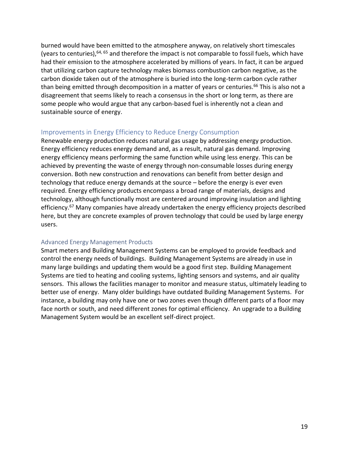burned would have been emitted to the atmosphere anyway, on relatively short timescales (years to centuries),64, 65 and therefore the impact is not comparable to fossil fuels, which have had their emission to the atmosphere accelerated by millions of years. In fact, it can be argued that utilizing carbon capture technology makes biomass combustion carbon negative, as the carbon dioxide taken out of the atmosphere is buried into the long-term carbon cycle rather than being emitted through decomposition in a matter of years or centuries.<sup>66</sup> This is also not a disagreement that seems likely to reach a consensus in the short or long term, as there are some people who would argue that any carbon-based fuel is inherently not a clean and sustainable source of energy.

### <span id="page-18-0"></span>Improvements in Energy Efficiency to Reduce Energy Consumption

Renewable energy production reduces natural gas usage by addressing energy production. Energy efficiency reduces energy demand and, as a result, natural gas demand. Improving energy efficiency means performing the same function while using less energy. This can be achieved by preventing the waste of energy through non-consumable losses during energy conversion. Both new construction and renovations can benefit from better design and technology that reduce energy demands at the source – before the energy is ever even required. Energy efficiency products encompass a broad range of materials, designs and technology, although functionally most are centered around improving insulation and lighting efficiency.<sup>67</sup> Many companies have already undertaken the energy efficiency projects described here, but they are concrete examples of proven technology that could be used by large energy users.

#### <span id="page-18-1"></span>Advanced Energy Management Products

Smart meters and Building Management Systems can be employed to provide feedback and control the energy needs of buildings. Building Management Systems are already in use in many large buildings and updating them would be a good first step. Building Management Systems are tied to heating and cooling systems, lighting sensors and systems, and air quality sensors. This allows the facilities manager to monitor and measure status, ultimately leading to better use of energy. Many older buildings have outdated Building Management Systems. For instance, a building may only have one or two zones even though different parts of a floor may face north or south, and need different zones for optimal efficiency. An upgrade to a Building Management System would be an excellent self-direct project.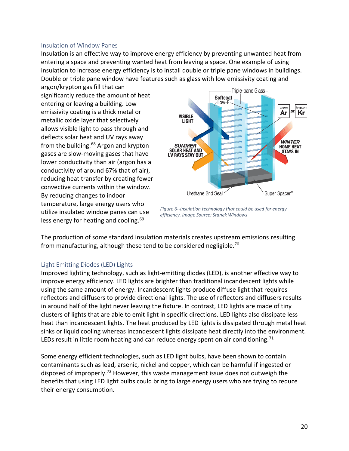#### <span id="page-19-0"></span>Insulation of Window Panes

Insulation is an effective way to improve energy efficiency by preventing unwanted heat from entering a space and preventing wanted heat from leaving a space. One example of using insulation to increase energy efficiency is to install double or triple pane windows in buildings. Double or triple pane window have features such as glass with low emissivity coating and

argon/krypton gas fill that can significantly reduce the amount of heat entering or leaving a building. Low emissivity coating is a thick metal or metallic oxide layer that selectively allows visible light to pass through and deflects solar heat and UV rays away from the building. $68$  Argon and krypton gases are slow-moving gases that have lower conductivity than air (argon has a conductivity of around 67% that of air), reducing heat transfer by creating fewer convective currents within the window. By reducing changes to indoor temperature, large energy users who utilize insulated window panes can use less energy for heating and cooling.<sup>69</sup>



*Figure 6--Insulation technology that could be used for energy efficiency. Image Source: Stanek Windows*

The production of some standard insulation materials creates upstream emissions resulting from manufacturing, although these tend to be considered negligible.<sup>70</sup>

#### <span id="page-19-1"></span>Light Emitting Diodes (LED) Lights

Improved lighting technology, such as light-emitting diodes (LED), is another effective way to improve energy efficiency. LED lights are brighter than traditional incandescent lights while using the same amount of energy. Incandescent lights produce diffuse light that requires reflectors and diffusers to provide directional lights. The use of reflectors and diffusers results in around half of the light never leaving the fixture. In contrast, LED lights are made of tiny clusters of lights that are able to emit light in specific directions. LED lights also dissipate less heat than incandescent lights. The heat produced by LED lights is dissipated through metal heat sinks or liquid cooling whereas incandescent lights dissipate heat directly into the environment. LEDs result in little room heating and can reduce energy spent on air conditioning.<sup>71</sup>

Some energy efficient technologies, such as LED light bulbs, have been shown to contain contaminants such as lead, arsenic, nickel and copper, which can be harmful if ingested or disposed of improperly.<sup>72</sup> However, this waste management issue does not outweigh the benefits that using LED light bulbs could bring to large energy users who are trying to reduce their energy consumption.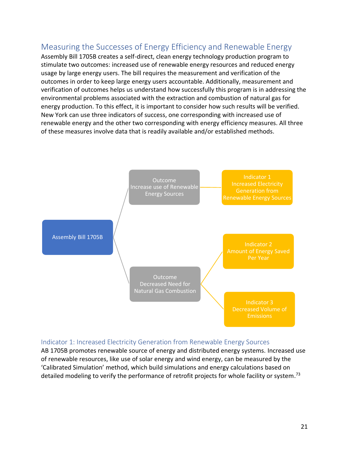# <span id="page-20-0"></span>Measuring the Successes of Energy Efficiency and Renewable Energy

Assembly Bill 1705B creates a self-direct, clean energy technology production program to stimulate two outcomes: increased use of renewable energy resources and reduced energy usage by large energy users. The bill requires the measurement and verification of the outcomes in order to keep large energy users accountable. Additionally, measurement and verification of outcomes helps us understand how successfully this program is in addressing the environmental problems associated with the extraction and combustion of natural gas for energy production. To this effect, it is important to consider how such results will be verified. New York can use three indicators of success, one corresponding with increased use of renewable energy and the other two corresponding with energy efficiency measures. All three of these measures involve data that is readily available and/or established methods.



## <span id="page-20-1"></span>Indicator 1: Increased Electricity Generation from Renewable Energy Sources

AB 1705B promotes renewable source of energy and distributed energy systems. Increased use of renewable resources, like use of solar energy and wind energy, can be measured by the 'Calibrated Simulation' method, which build simulations and energy calculations based on detailed modeling to verify the performance of retrofit projects for whole facility or system.<sup>73</sup>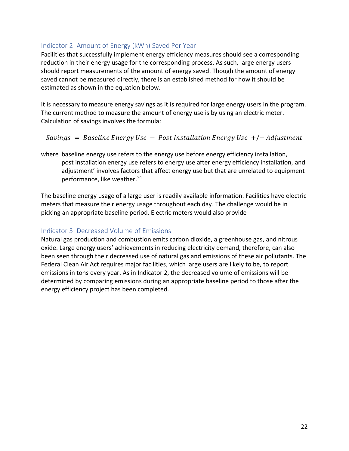# <span id="page-21-0"></span>Indicator 2: Amount of Energy (kWh) Saved Per Year

Facilities that successfully implement energy efficiency measures should see a corresponding reduction in their energy usage for the corresponding process. As such, large energy users should report measurements of the amount of energy saved. Though the amount of energy saved cannot be measured directly, there is an established method for how it should be estimated as shown in the equation below.

It is necessary to measure energy savings as it is required for large energy users in the program. The current method to measure the amount of energy use is by using an electric meter. Calculation of savings involves the formula:

## $Savings = Baseline Energy Use - Post Instantation Energy Use +/- Adjustment$

where baseline energy use refers to the energy use before energy efficiency installation, post installation energy use refers to energy use after energy efficiency installation, and adjustment' involves factors that affect energy use but that are unrelated to equipment performance, like weather. 74

The baseline energy usage of a large user is readily available information. Facilities have electric meters that measure their energy usage throughout each day. The challenge would be in picking an appropriate baseline period. Electric meters would also provide

# <span id="page-21-1"></span>Indicator 3: Decreased Volume of Emissions

Natural gas production and combustion emits carbon dioxide, a greenhouse gas, and nitrous oxide. Large energy users' achievements in reducing electricity demand, therefore, can also been seen through their decreased use of natural gas and emissions of these air pollutants. The Federal Clean Air Act requires major facilities, which large users are likely to be, to report emissions in tons every year. As in Indicator 2, the decreased volume of emissions will be determined by comparing emissions during an appropriate baseline period to those after the energy efficiency project has been completed.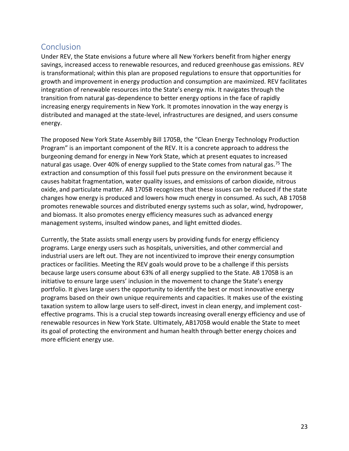# <span id="page-22-0"></span>**Conclusion**

Under REV, the State envisions a future where all New Yorkers benefit from higher energy savings, increased access to renewable resources, and reduced greenhouse gas emissions. REV is transformational; within this plan are proposed regulations to ensure that opportunities for growth and improvement in energy production and consumption are maximized. REV facilitates integration of renewable resources into the State's energy mix. It navigates through the transition from natural gas-dependence to better energy options in the face of rapidly increasing energy requirements in New York. It promotes innovation in the way energy is distributed and managed at the state-level, infrastructures are designed, and users consume energy.

The proposed New York State Assembly Bill 1705B, the "Clean Energy Technology Production Program" is an important component of the REV. It is a concrete approach to address the burgeoning demand for energy in New York State, which at present equates to increased natural gas usage. Over 40% of energy supplied to the State comes from natural gas.<sup>75</sup> The extraction and consumption of this fossil fuel puts pressure on the environment because it causes habitat fragmentation, water quality issues, and emissions of carbon dioxide, nitrous oxide, and particulate matter. AB 1705B recognizes that these issues can be reduced if the state changes how energy is produced and lowers how much energy in consumed. As such, AB 1705B promotes renewable sources and distributed energy systems such as solar, wind, hydropower, and biomass. It also promotes energy efficiency measures such as advanced energy management systems, insulted window panes, and light emitted diodes.

Currently, the State assists small energy users by providing funds for energy efficiency programs. Large energy users such as hospitals, universities, and other commercial and industrial users are left out. They are not incentivized to improve their energy consumption practices or facilities. Meeting the REV goals would prove to be a challenge if this persists because large users consume about 63% of all energy supplied to the State. AB 1705B is an initiative to ensure large users' inclusion in the movement to change the State's energy portfolio. It gives large users the opportunity to identify the best or most innovative energy programs based on their own unique requirements and capacities. It makes use of the existing taxation system to allow large users to self-direct, invest in clean energy, and implement costeffective programs. This is a crucial step towards increasing overall energy efficiency and use of renewable resources in New York State. Ultimately, AB1705B would enable the State to meet its goal of protecting the environment and human health through better energy choices and more efficient energy use.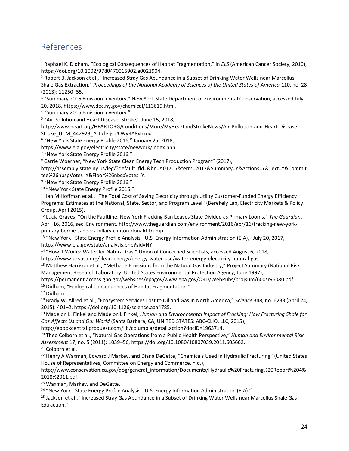# <span id="page-23-0"></span>References

 $\overline{a}$ 

<sup>1</sup> Raphael K. Didham, "Ecological Consequences of Habitat Fragmentation," in *ELS* (American Cancer Society, 2010), https://doi.org/10.1002/9780470015902.a0021904.

<sup>3</sup> "Summary 2016 Emission Inventory," New York State Department of Environmental Conservation, accessed July 20, 2018, https://www.dec.ny.gov/chemical/113619.html.

<sup>4</sup> "Summary 2016 Emission Inventory."

<sup>5</sup> "Air Pollution and Heart Disease, Stroke," June 15, 2018,

http://www.heart.org/HEARTORG/Conditions/More/MyHeartandStrokeNews/Air-Pollution-and-Heart-Disease-Stroke\_UCM\_442923\_Article.jsp#.WyRA8xIzrox.

<sup>6</sup> "New York State Energy Profile 2016," January 25, 2018,

https://www.eia.gov/electricity/state/newyork/index.php.

<sup>7</sup> "New York State Energy Profile 2016."

<sup>8</sup> Carrie Woerner, "New York State Clean Energy Tech Production Program" (2017),

http://assembly.state.ny.us/leg/?default\_fld=&bn=A01705&term=2017&Summary=Y&Actions=Y&Text=Y&Commit tee%26nbspVotes=Y&Floor%26nbspVotes=Y.

<sup>9</sup> "New York State Energy Profile 2016."

<sup>10</sup> "New York State Energy Profile 2016."

<sup>11</sup> Ian M Hoffman et al., "The Total Cost of Saving Electricity through Utility Customer-Funded Energy Efficiency Programs: Estimates at the National, State, Sector, and Program Level" (Berekely Lab, Electricity Markets & Policy Group, April 2015).

<sup>12</sup> Lucia Graves, "On the Faultline: New York Fracking Ban Leaves State Divided as Primary Looms," *The Guardian*, April 16, 2016, sec. Environment, http://www.theguardian.com/environment/2016/apr/16/fracking-new-yorkprimary-bernie-sanders-hillary-clinton-donald-trump.

<sup>13</sup> "New York - State Energy Profile Analysis - U.S. Energy Information Administration (EIA)," July 20, 2017, https://www.eia.gov/state/analysis.php?sid=NY.

<sup>14</sup> "How It Works: Water for Natural Gas," Union of Concerned Scientists, accessed August 6, 2018,

https://www.ucsusa.org/clean-energy/energy-water-use/water-energy-electricity-natural-gas.

<sup>15</sup> Matthew Harrison et al., "Methane Emissions from the Natural Gas Industry," Project Summary (National Risk Management Research Laboratory: United States Environmental Protection Agency, June 1997),

https://permanent.access.gpo.gov/websites/epagov/www.epa.gov/ORD/WebPubs/projsum/600sr96080.pdf. <sup>16</sup> Didham, "Ecological Consequences of Habitat Fragmentation."

<sup>17</sup> Didham.

<sup>18</sup> Brady W. Allred et al., "Ecosystem Services Lost to Oil and Gas in North America," *Science* 348, no. 6233 (April 24, 2015): 401–2, https://doi.org/10.1126/science.aaa4785.

<sup>19</sup> Madelon L. Finkel and Madelon L Finkel, *Human and Environmental Impact of Fracking: How Fracturing Shale for Gas Affects Us and Our World* (Santa Barbara, CA, UNITED STATES: ABC-CLIO, LLC, 2015),

http://ebookcentral.proquest.com/lib/columbia/detail.action?docID=1963714.

<sup>20</sup> Theo Colborn et al., "Natural Gas Operations from a Public Health Perspective," *Human and Environmental Risk Assessment* 17, no. 5 (2011): 1039–56, https://doi.org/10.1080/10807039.2011.605662.

<sup>21</sup> Colborn et al.

<sup>22</sup> Henry A Waxman, Edward J Markey, and Diana DeGette, "Chemicals Used in Hydraulic Fracturing" (United States House of Representatives, Committee on Energy and Commerce, n.d.),

http://www.conservation.ca.gov/dog/general\_information/Documents/Hydraulic%20Fracturing%20Report%204% 2018%2011.pdf.

<sup>23</sup> Waxman, Markey, and DeGette.

<sup>24</sup> "New York - State Energy Profile Analysis - U.S. Energy Information Administration (EIA)."

<sup>25</sup> Jackson et al., "Increased Stray Gas Abundance in a Subset of Drinking Water Wells near Marcellus Shale Gas Extraction."

<sup>2</sup> Robert B. Jackson et al., "Increased Stray Gas Abundance in a Subset of Drinking Water Wells near Marcellus Shale Gas Extraction," *Proceedings of the National Academy of Sciences of the United States of America* 110, no. 28 (2013): 11250–55.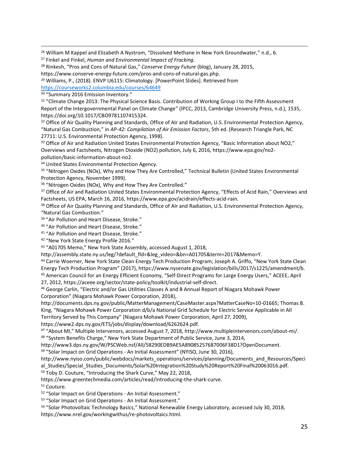<sup>26</sup> William M Kappel and Elizabeth A Nystrom, "Dissolved Methane in New York Groundwater," n.d., 6.

<sup>28</sup> Rinkesh, "Pros and Cons of Natural Gas," *Conserve Energy Future* (blog), January 28, 2015,

<sup>29</sup> Willia[m](https://courseworks2.columbia.edu/courses/64649)s, P., (2018). ENVP U6115: Climatology. [PowerPoint Slides]. Retrieved from

<https://courseworks2.columbia.edu/courses/64649>

<sup>30</sup> "Summary 2016 Emission Inventory."

 $\overline{a}$ 

<sup>31</sup> "Climate Change 2013: The Physical Science Basis. Contribution of Working Group I to the Fifth Assessment Report of the Intergovernmental Panel on Climate Change" (IPCC, 2013, Cambridge University Press, n.d.), 1535, https://doi.org/10.1017/CBO9781107415324.

32 Office of Air Quality Planning and Standards, Office of AIr and Radiation, U.S. Environmental Protection Agency, "Natural Gas Combustion," in *AP-42: Compilation of Air Emission Factors*, 5th ed. (Research Triangle Park, NC 27711: U.S. Environmental Protection Agency, 1998).

33 Office of Air and Radiation United States Environmental Protection Agency, "Basic Information about NO2," Overviews and Factsheets, Nitrogen Dioxide (NO2) pollution, July 6, 2016, https://www.epa.gov/no2 pollution/basic-information-about-no2.

34 United States Environmental Protection Agency.

<sup>35</sup> "Nitrogen Oxides (NOx), Why and How They Are Controlled," Technical Bulletin (United States Environmental Protection Agency, November 1999).

<sup>36</sup> "Nitrogen Oxides (NOx), Why and How They Are Controlled."

<sup>37</sup> Office of Air and Radiation United States Environmental Protection Agency, "Effects of Acid Rain," Overviews and Factsheets, US EPA, March 16, 2016, https://www.epa.gov/acidrain/effects-acid-rain.

<sup>38</sup> Office of Air Quality Planning and Standards, Office of AIr and Radiation, U.S. Environmental Protection Agency, "Natural Gas Combustion."

<sup>39</sup> "Air Pollution and Heart Disease, Stroke."

<sup>40</sup> "Air Pollution and Heart Disease, Stroke."

<sup>41</sup> "Air Pollution and Heart Disease, Stroke."

<sup>42</sup> "New York State Energy Profile 2016."

<sup>43</sup> "A01705 Memo," New York State Assembly, accessed August 1, 2018,

http://assembly.state.ny.us/leg/?default\_fld=&leg\_video=&bn=A01705&term=2017&Memo=Y.

<sup>44</sup> Carrie Woerner, New York State Clean Energy Tech Production Program; Joseph A. Griffo, "New York State Clean Energy Tech Production Program" (2017), https://www.nysenate.gov/legislation/bills/2017/s1225/amendment/b. <sup>45</sup> American Council for an Energy Efficient Economy, "Self-Direct Programs for Large Energy Users," ACEEE, April 27, 2012, https://aceee.org/sector/state-policy/toolkit/industrial-self-direct.

<sup>46</sup> George Carlin, "Electric and/or Gas Utilities Classes A and B Annual Report of Niagara Mohawk Power

Corporation" (Niagara Mohawk Power Corporation, 2018),

http://documents.dps.ny.gov/public/MatterManagement/CaseMaster.aspx?MatterCaseNo=10-01665; Thomas B. King, "Niagara Mohawk Power Corporation d/b/a National Grid Schedule for Electric Service Applicable in All

Territory Served by This Company" (Niagara Mohawk Power Corporation, April 27, 2009),

https://www2.dps.ny.gov/ETS/jobs/display/download/6262624.pdf.

<sup>47</sup> "About MI," Multiple Intervenors, accessed August 7, 2018, http://www.multipleintervenors.com/about-mi/. 48 "System Benefits Charge," New York State Department of Public Service, June 3, 2014,

http://www3.dps.ny.gov/W/PSCWeb.nsf/All/58290EDB9AE5A89085257687006F38D1?OpenDocument.

<sup>49</sup> "Solar Impact on Grid Operations - An Initial Assessment" (NYISO, June 30, 2016),

http://www.nyiso.com/public/webdocs/markets\_operations/services/planning/Documents\_and\_Resources/Speci al Studies/Special Studies Documents/Solar%20Integration%20Study%20Report%20Final%20063016.pdf.

<sup>50</sup> Toby D. Couture, "Introducing the Shark Curve," May 22, 2018,

https://www.greentechmedia.com/articles/read/introducing-the-shark-curve.

<sup>51</sup> Couture.

<sup>52</sup> "Solar Impact on Grid Operations - An Initial Assessment."

53 "Solar Impact on Grid Operations - An Initial Assessment."

<sup>54</sup> "Solar Photovoltaic Technology Basics," National Renewable Energy Laboratory, accessed July 30, 2018, https://www.nrel.gov/workingwithus/re-photovoltaics.html.

<sup>27</sup> Finkel and Finkel, *Human and Environmental Impact of Fracking*.

https://www.conserve-energy-future.com/pros-and-cons-of-natural-gas.php.